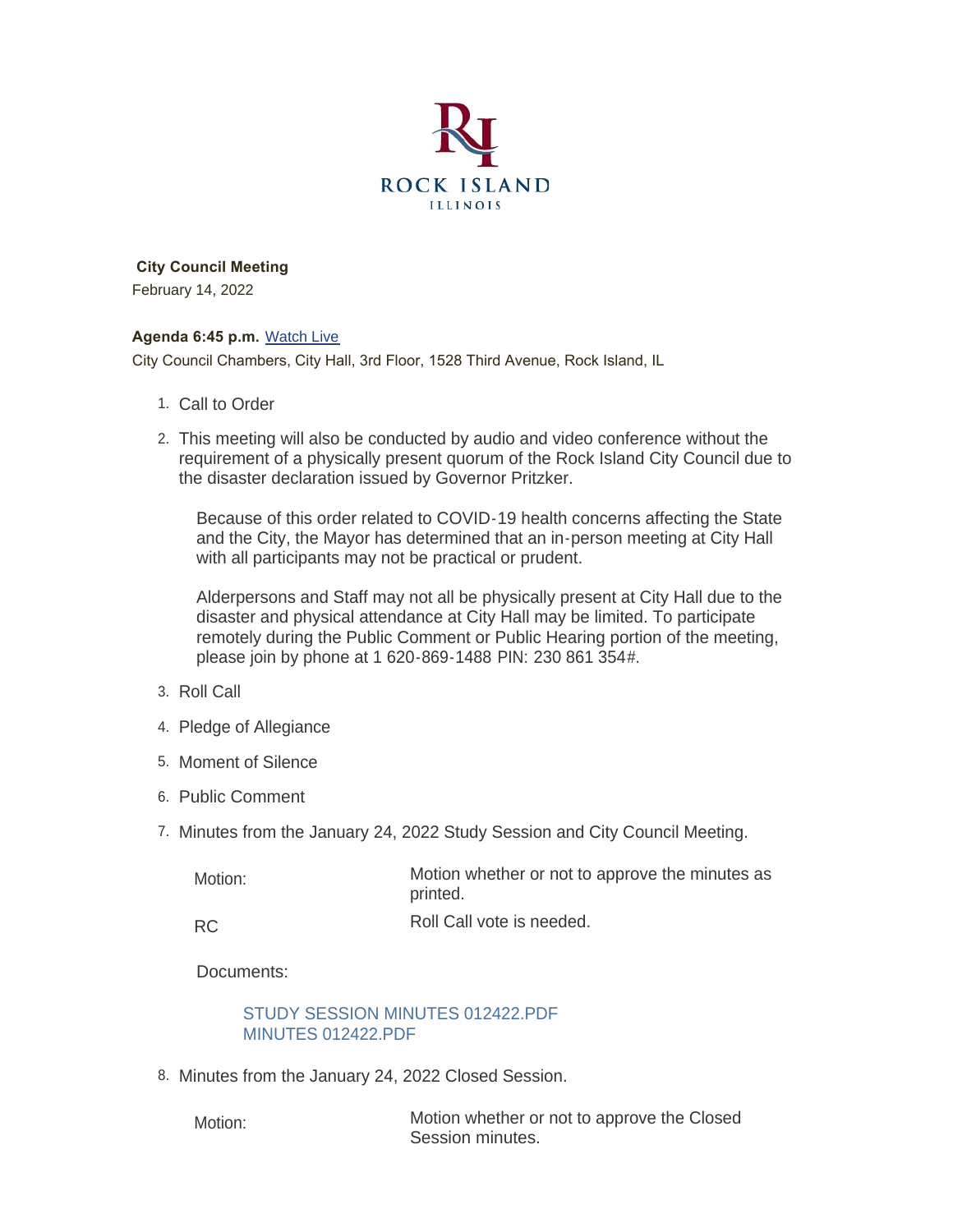

 **City Council Meeting** February 14, 2022

#### **Agenda 6:45 p.m.** [Watch Live](https://www.youtube.com/user/RockIslandIL/live)

City Council Chambers, City Hall, 3rd Floor, 1528 Third Avenue, Rock Island, IL

- 1. Call to Order
- This meeting will also be conducted by audio and video conference without the 2. requirement of a physically present quorum of the Rock Island City Council due to the disaster declaration issued by Governor Pritzker.

Because of this order related to COVID-19 health concerns affecting the State and the City, the Mayor has determined that an in-person meeting at City Hall with all participants may not be practical or prudent.

Alderpersons and Staff may not all be physically present at City Hall due to the disaster and physical attendance at City Hall may be limited. To participate remotely during the Public Comment or Public Hearing portion of the meeting, please join by phone at 1 620-869-1488 PIN: 230 861 354#.

- 3. Roll Call
- 4. Pledge of Allegiance
- 5. Moment of Silence
- 6. Public Comment
- 7. Minutes from the January 24, 2022 Study Session and City Council Meeting.

| Motion:   | Motion whether or not to approve the minutes as<br>printed. |
|-----------|-------------------------------------------------------------|
| <b>RC</b> | Roll Call vote is needed.                                   |

Documents:

### [STUDY SESSION MINUTES 012422.PDF](https://www.rigov.org/AgendaCenter/ViewFile/Item/5292?fileID=7453) [MINUTES 012422.PDF](https://www.rigov.org/AgendaCenter/ViewFile/Item/5292?fileID=7454)

8. Minutes from the January 24, 2022 Closed Session.

Motion:

Motion whether or not to approve the Closed Session minutes.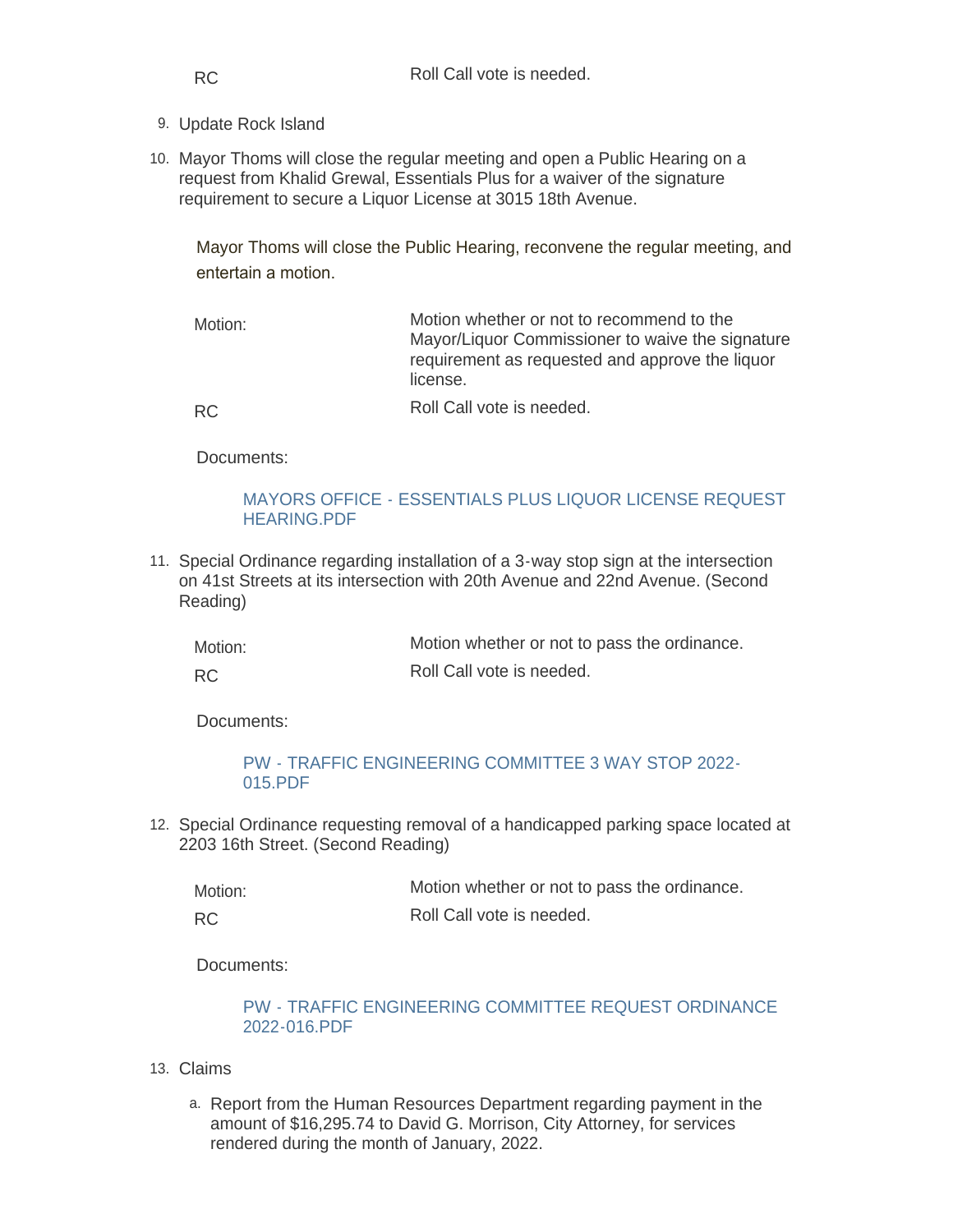- 9. Update Rock Island
- 10. Mayor Thoms will close the regular meeting and open a Public Hearing on a request from Khalid Grewal, Essentials Plus for a waiver of the signature requirement to secure a Liquor License at 3015 18th Avenue.

Mayor Thoms will close the Public Hearing, reconvene the regular meeting, and entertain a motion.

Motion whether or not to recommend to the Mayor/Liquor Commissioner to waive the signature requirement as requested and approve the liquor license. Motion:

RC

Roll Call vote is needed.

Documents:

### [MAYORS OFFICE - ESSENTIALS PLUS LIQUOR LICENSE REQUEST](https://www.rigov.org/AgendaCenter/ViewFile/Item/5294?fileID=7424)  HEARING.PDF

11. Special Ordinance regarding installation of a 3-way stop sign at the intersection on 41st Streets at its intersection with 20th Avenue and 22nd Avenue. (Second Reading)

| Motion:   | Motion whether or not to pass the ordinance. |
|-----------|----------------------------------------------|
| <b>RC</b> | Roll Call vote is needed.                    |

Documents:

# [PW - TRAFFIC ENGINEERING COMMITTEE 3 WAY STOP 2022-](https://www.rigov.org/AgendaCenter/ViewFile/Item/5296?fileID=7446) 015.PDF

12. Special Ordinance requesting removal of a handicapped parking space located at 2203 16th Street. (Second Reading)

| Motion: | Motion whether or not to pass the ordinance. |
|---------|----------------------------------------------|
|---------|----------------------------------------------|

RC

Documents:

# [PW - TRAFFIC ENGINEERING COMMITTEE REQUEST ORDINANCE](https://www.rigov.org/AgendaCenter/ViewFile/Item/5297?fileID=7445)  2022-016.PDF

Roll Call vote is needed.

- Claims 13.
	- a. Report from the Human Resources Department regarding payment in the amount of \$16,295.74 to David G. Morrison, City Attorney, for services rendered during the month of January, 2022.

RC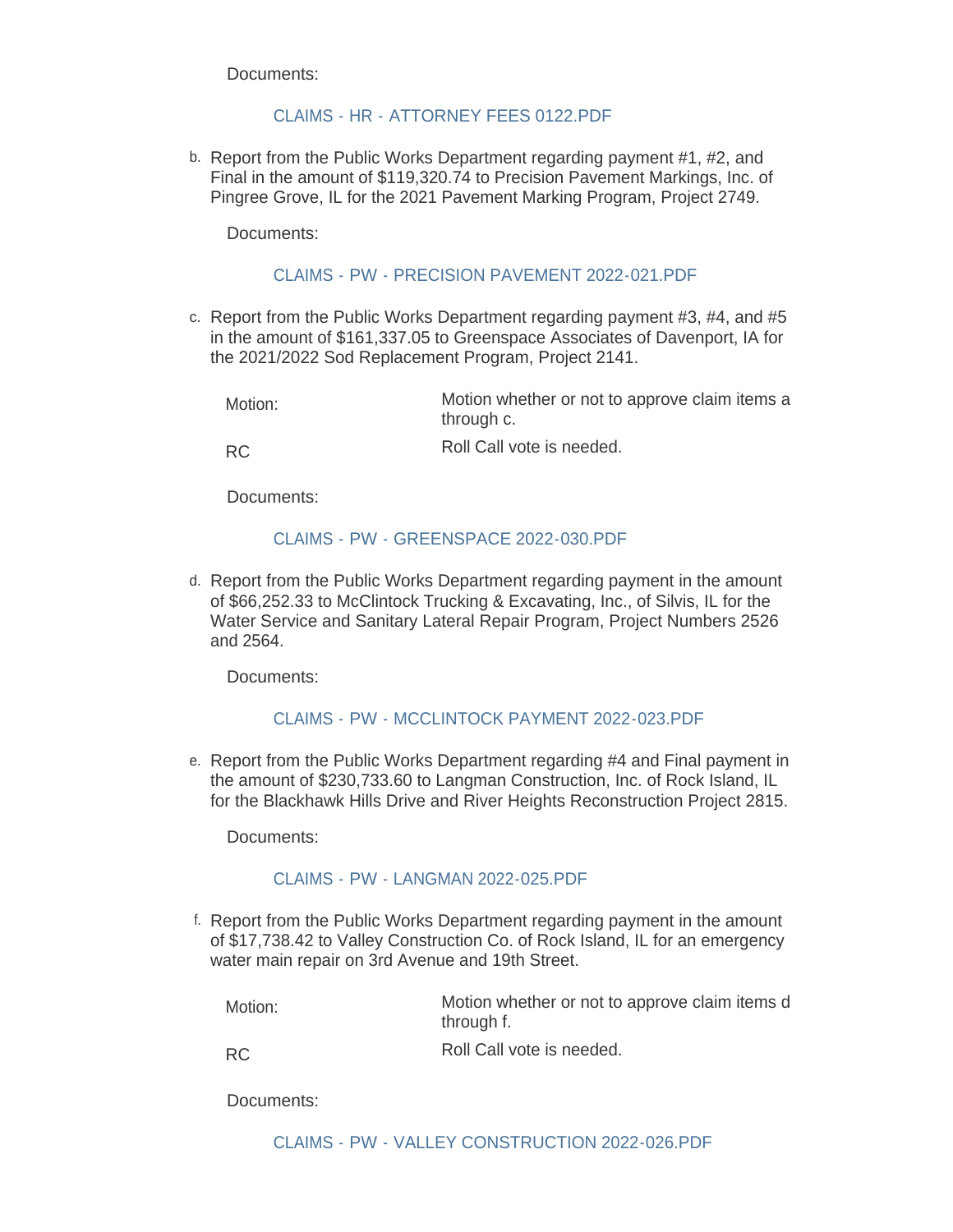## CLAIMS - HR - ATTORNEY FFFS 0122 PDF

b. Report from the Public Works Department regarding payment #1, #2, and Final in the amount of \$119,320.74 to Precision Pavement Markings, Inc. of Pingree Grove, IL for the 2021 Pavement Marking Program, Project 2749.

Documents:

#### [CLAIMS - PW - PRECISION PAVEMENT 2022-021.PDF](https://www.rigov.org/AgendaCenter/ViewFile/Item/5309?fileID=7441)

c. Report from the Public Works Department regarding payment #3, #4, and #5 in the amount of \$161,337.05 to Greenspace Associates of Davenport, IA for the 2021/2022 Sod Replacement Program, Project 2141.

RC

Roll Call vote is needed.

Documents:

#### CLAIMS - PW - GREENSPACE 2022-030 PDE

d. Report from the Public Works Department regarding payment in the amount of \$66,252.33 to McClintock Trucking & Excavating, Inc., of Silvis, IL for the Water Service and Sanitary Lateral Repair Program, Project Numbers 2526 and 2564.

Documents:

#### [CLAIMS - PW - MCCLINTOCK PAYMENT 2022-023.PDF](https://www.rigov.org/AgendaCenter/ViewFile/Item/5310?fileID=7440)

e. Report from the Public Works Department regarding #4 and Final payment in the amount of \$230,733.60 to Langman Construction, Inc. of Rock Island, IL for the Blackhawk Hills Drive and River Heights Reconstruction Project 2815.

Documents:

#### [CLAIMS - PW - LANGMAN 2022-025.PDF](https://www.rigov.org/AgendaCenter/ViewFile/Item/5308?fileID=7438)

f. Report from the Public Works Department regarding payment in the amount of \$17,738.42 to Valley Construction Co. of Rock Island, IL for an emergency water main repair on 3rd Avenue and 19th Street.

Motion:

Motion whether or not to approve claim items d through f.

RC

Roll Call vote is needed.

Documents: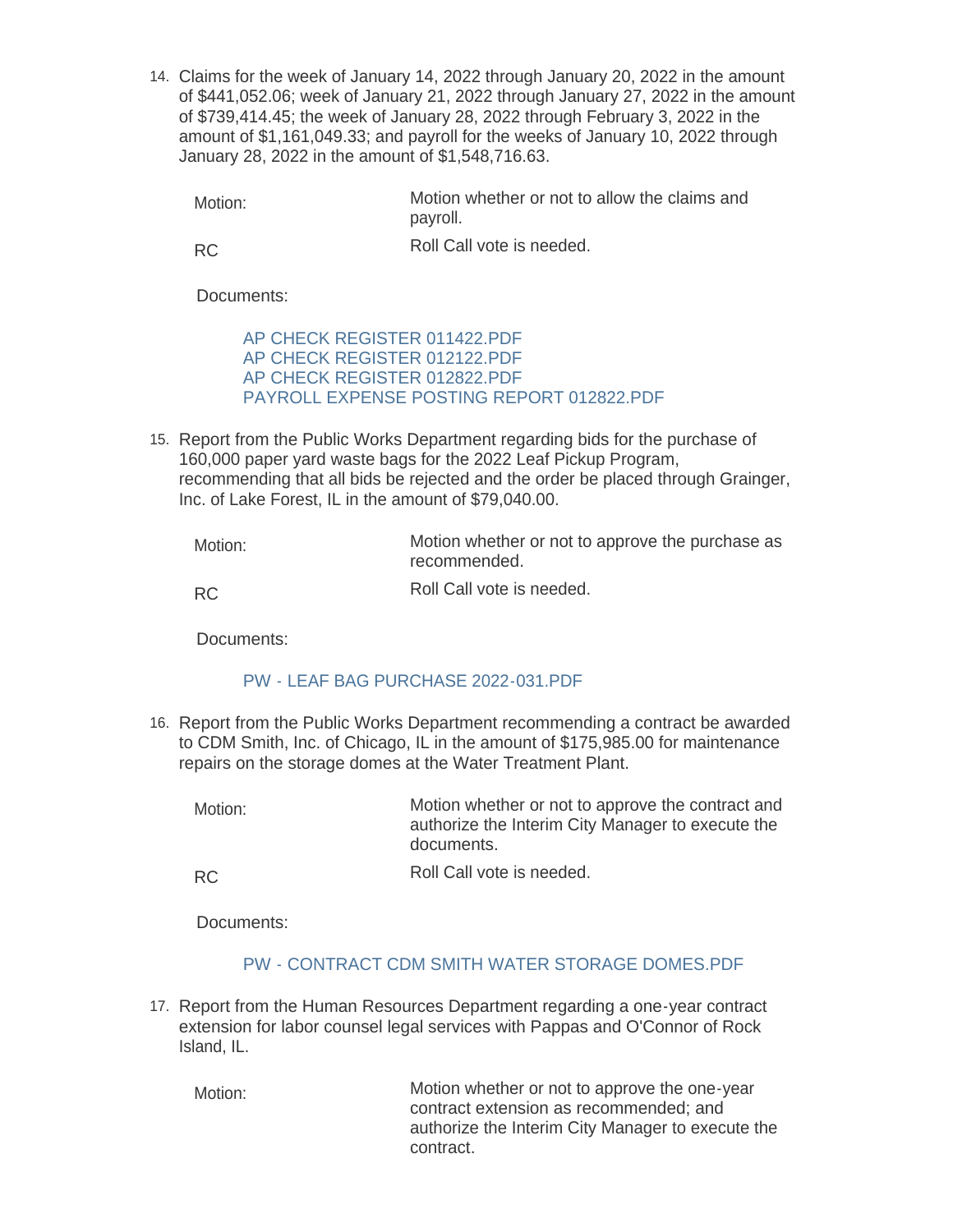Claims for the week of January 14, 2022 through January 20, 2022 in the amount 14. of \$441,052.06; week of January 21, 2022 through January 27, 2022 in the amount of \$739,414.45; the week of January 28, 2022 through February 3, 2022 in the amount of \$1,161,049.33; and payroll for the weeks of January 10, 2022 through January 28, 2022 in the amount of \$1,548,716.63.

Motion whether or not to allow the claims and payroll. Motion:

RC

Roll Call vote is needed.

Documents:

[AP CHECK REGISTER 011422.PDF](https://www.rigov.org/AgendaCenter/ViewFile/Item/5299?fileID=7429) [AP CHECK REGISTER 012122.PDF](https://www.rigov.org/AgendaCenter/ViewFile/Item/5299?fileID=7430) [AP CHECK REGISTER 012822.PDF](https://www.rigov.org/AgendaCenter/ViewFile/Item/5299?fileID=7431) [PAYROLL EXPENSE POSTING REPORT 012822.PDF](https://www.rigov.org/AgendaCenter/ViewFile/Item/5299?fileID=7428)

15. Report from the Public Works Department regarding bids for the purchase of 160,000 paper yard waste bags for the 2022 Leaf Pickup Program, recommending that all bids be rejected and the order be placed through Grainger, Inc. of Lake Forest, IL in the amount of \$79,040.00.

Motion whether or not to approve the purchase as recommended. Roll Call vote is needed. Motion:

RC

Documents:

### [PW - LEAF BAG PURCHASE 2022-031.PDF](https://www.rigov.org/AgendaCenter/ViewFile/Item/5307?fileID=7437)

16. Report from the Public Works Department recommending a contract be awarded to CDM Smith, Inc. of Chicago, IL in the amount of \$175,985.00 for maintenance repairs on the storage domes at the Water Treatment Plant.

Motion whether or not to approve the contract and authorize the Interim City Manager to execute the documents. Motion:

Roll Call vote is needed. RC

Documents:

### [PW - CONTRACT CDM SMITH WATER STORAGE DOMES.PDF](https://www.rigov.org/AgendaCenter/ViewFile/Item/5313?fileID=7444)

17. Report from the Human Resources Department regarding a one-year contract extension for labor counsel legal services with Pappas and O'Connor of Rock Island, IL.

Motion whether or not to approve the one-year contract extension as recommended; and authorize the Interim City Manager to execute the contract. Motion: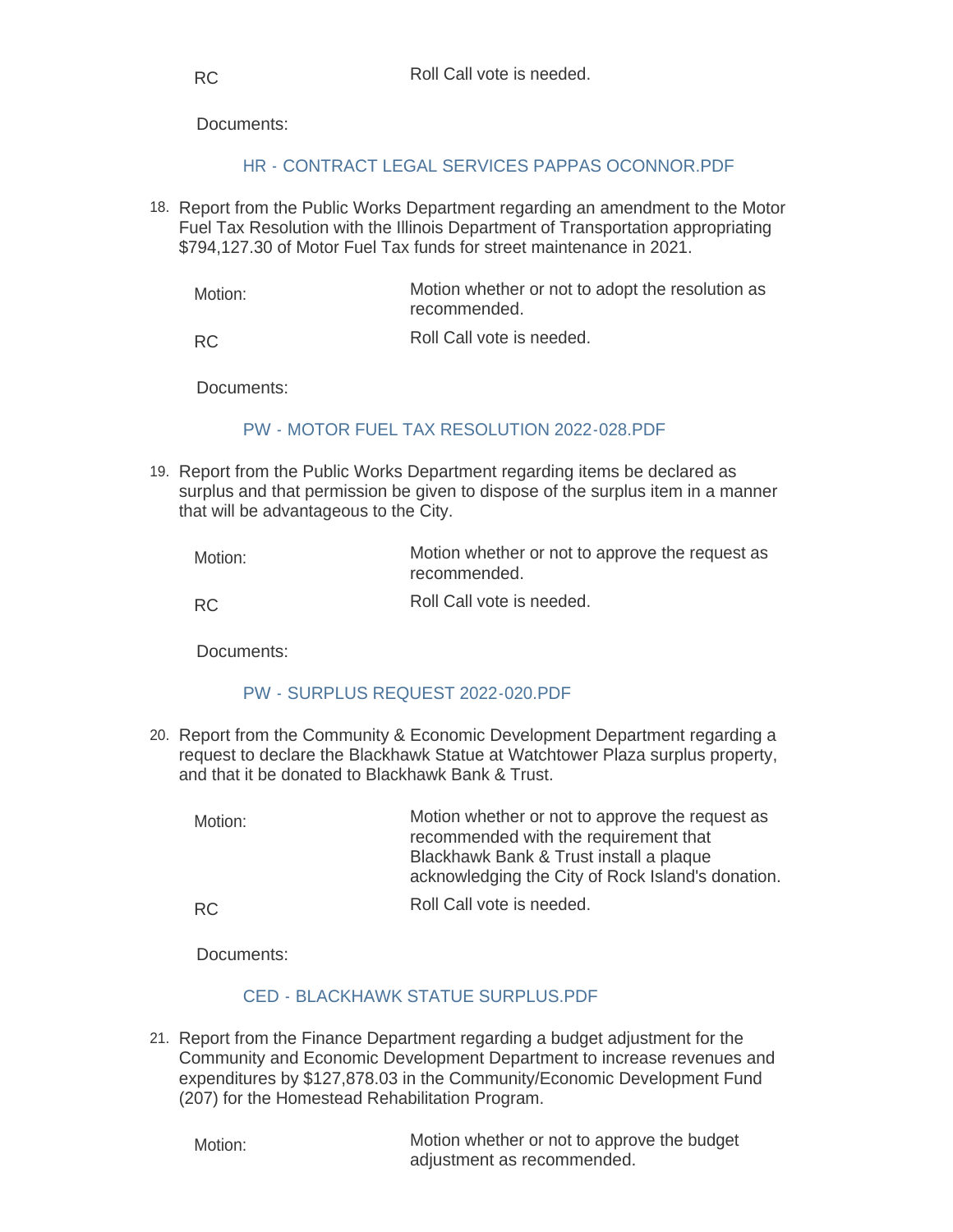### [HR - CONTRACT LEGAL SERVICES PAPPAS OCONNOR.PDF](https://www.rigov.org/AgendaCenter/ViewFile/Item/5304?fileID=7449)

18. Report from the Public Works Department regarding an amendment to the Motor Fuel Tax Resolution with the Illinois Department of Transportation appropriating \$794,127.30 of Motor Fuel Tax funds for street maintenance in 2021.

Motion whether or not to adopt the resolution as recommended. Motion:

Roll Call vote is needed. RC

Documents:

### [PW - MOTOR FUEL TAX RESOLUTION 2022-028.PDF](https://www.rigov.org/AgendaCenter/ViewFile/Item/5315?fileID=7448)

19. Report from the Public Works Department regarding items be declared as surplus and that permission be given to dispose of the surplus item in a manner that will be advantageous to the City.

| Motion: | Motion whether or not to approve the request as<br>recommended. |
|---------|-----------------------------------------------------------------|
| RC.     | Roll Call vote is needed.                                       |

Roll Call vote is needed.

Documents:

### [PW - SURPLUS REQUEST 2022-020.PDF](https://www.rigov.org/AgendaCenter/ViewFile/Item/5314?fileID=7447)

20. Report from the Community & Economic Development Department regarding a request to declare the Blackhawk Statue at Watchtower Plaza surplus property, and that it be donated to Blackhawk Bank & Trust.

| Motion: | Motion whether or not to approve the request as<br>recommended with the requirement that<br>Blackhawk Bank & Trust install a plaque<br>acknowledging the City of Rock Island's donation. |
|---------|------------------------------------------------------------------------------------------------------------------------------------------------------------------------------------------|
| RC.     | Roll Call vote is needed.                                                                                                                                                                |

Documents:

### [CED - BLACKHAWK STATUE SURPLUS.PDF](https://www.rigov.org/AgendaCenter/ViewFile/Item/5320?fileID=7452)

21. Report from the Finance Department regarding a budget adjustment for the Community and Economic Development Department to increase revenues and expenditures by \$127,878.03 in the Community/Economic Development Fund (207) for the Homestead Rehabilitation Program.

Motion:

Motion whether or not to approve the budget adjustment as recommended.

RC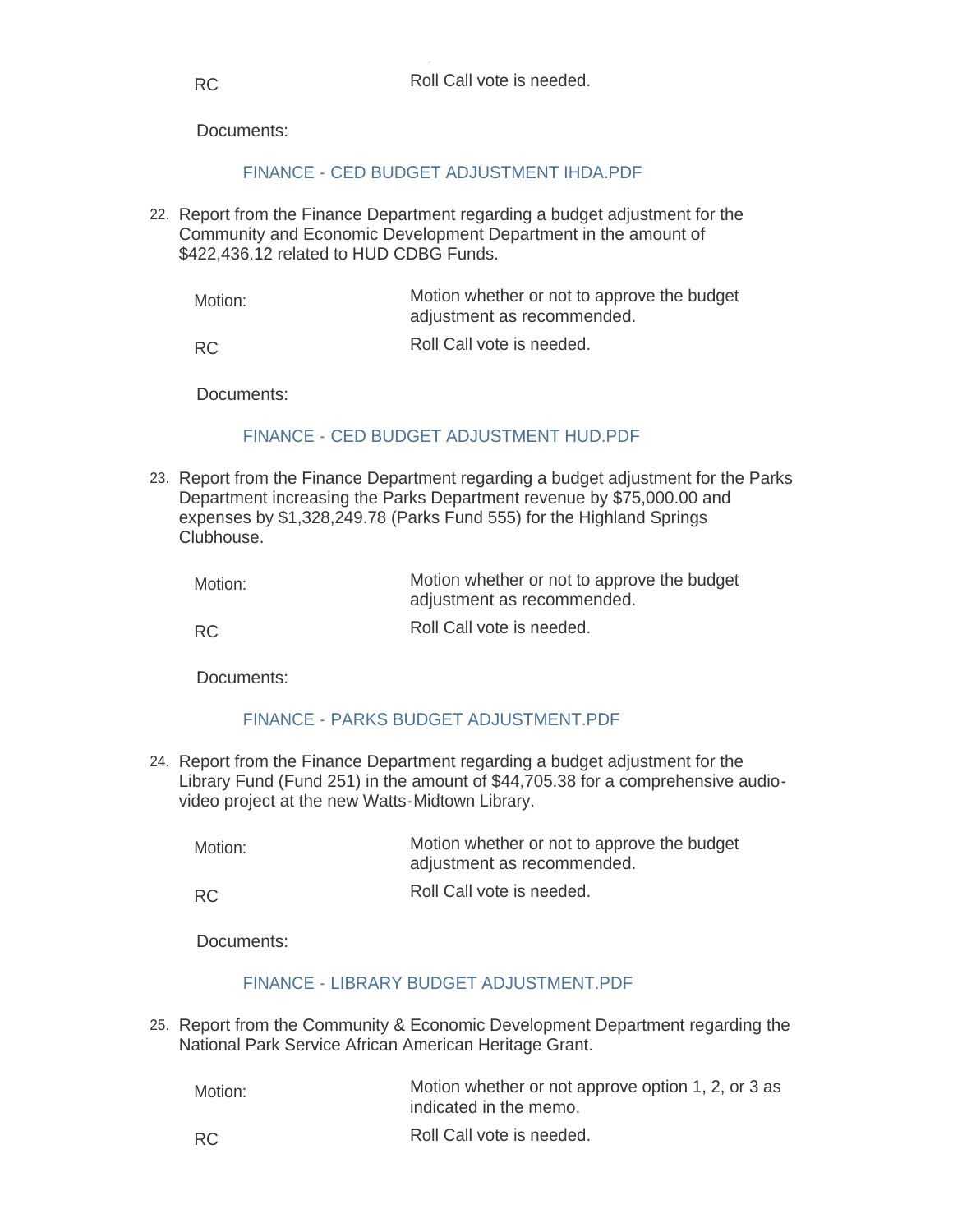# [FINANCE - CED BUDGET ADJUSTMENT IHDA.PDF](https://www.rigov.org/AgendaCenter/ViewFile/Item/5301?fileID=7433)

22. Report from the Finance Department regarding a budget adjustment for the Community and Economic Development Department in the amount of \$422,436.12 related to HUD CDBG Funds.

Motion whether or not to approve the budget adjustment as recommended. Motion:

Roll Call vote is needed. RC

Documents:

# [FINANCE - CED BUDGET ADJUSTMENT HUD.PDF](https://www.rigov.org/AgendaCenter/ViewFile/Item/5302?fileID=7434)

23. Report from the Finance Department regarding a budget adjustment for the Parks Department increasing the Parks Department revenue by \$75,000.00 and expenses by \$1,328,249.78 (Parks Fund 555) for the Highland Springs Clubhouse.

| Motion:   | Motion whether or not to approve the budget<br>adjustment as recommended. |
|-----------|---------------------------------------------------------------------------|
| <b>RC</b> | Roll Call vote is needed.                                                 |

Documents:

### [FINANCE - PARKS BUDGET ADJUSTMENT.PDF](https://www.rigov.org/AgendaCenter/ViewFile/Item/5300?fileID=7432)

Report from the Finance Department regarding a budget adjustment for the 24. Library Fund (Fund 251) in the amount of \$44,705.38 for a comprehensive audiovideo project at the new Watts-Midtown Library.

| Motion: | Motion whether or not to approve the budget |
|---------|---------------------------------------------|
|         | adjustment as recommended.                  |

Roll Call vote is needed. RC

Documents:

### [FINANCE - LIBRARY BUDGET ADJUSTMENT.PDF](https://www.rigov.org/AgendaCenter/ViewFile/Item/5318?fileID=7450)

25. Report from the Community & Economic Development Department regarding the National Park Service African American Heritage Grant.

| Motion: | Motion whether or not approve option 1, 2, or 3 as<br>indicated in the memo. |
|---------|------------------------------------------------------------------------------|
| RC      | Roll Call vote is needed.                                                    |

RC